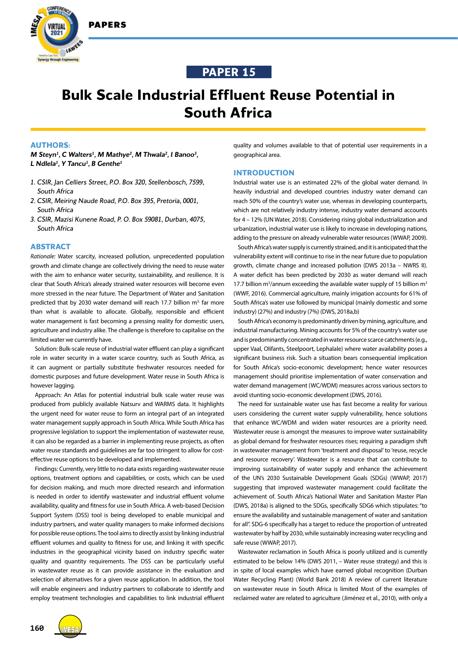

# **PAPER 15**

# **Bulk Scale Industrial Effluent Reuse Potential in South Africa**

# **AUTHORS:**

*M* Steyn<sup>1</sup>, C Walters<sup>1</sup>, M Mathye<sup>2</sup>, M Thwala<sup>2</sup>, I Banoo<sup>3</sup>, *L Ndlela1 , Y Tancu1 , B Genthe1*

- *1. CSIR, Jan Celliers Street, P.O. Box 320, Stellenbosch, 7599, South Africa*
- *2. CSIR, Meiring Naude Road, P.O. Box 395, Pretoria, 0001, South Africa*
- *3. CSIR, Mazisi Kunene Road, P. O. Box 59081, Durban, 4075, South Africa*

# **ABSTRACT**

*Rationale:* Water scarcity, increased pollution, unprecedented population growth and climate change are collectively driving the need to reuse water with the aim to enhance water security, sustainability, and resilience. It is clear that South Africa's already strained water resources will become even more stressed in the near future. The Department of Water and Sanitation predicted that by 2030 water demand will reach 17.7 billion  $m<sup>3</sup>$  far more than what is available to allocate. Globally, responsible and efficient water management is fast becoming a pressing reality for domestic users, agriculture and industry alike. The challenge is therefore to capitalise on the limited water we currently have.

Solution: Bulk-scale reuse of industrial water effluent can play a significant role in water security in a water scarce country, such as South Africa, as it can augment or partially substitute freshwater resources needed for domestic purposes and future development. Water reuse in South Africa is however lagging.

Approach: An Atlas for potential industrial bulk scale water reuse was produced from publicly available Natsurv and WARMS data. It highlights the urgent need for water reuse to form an integral part of an integrated water management supply approach in South Africa. While South Africa has progressive legislation to support the implementation of wastewater reuse, it can also be regarded as a barrier in implementing reuse projects, as often water reuse standards and guidelines are far too stringent to allow for costeffective reuse options to be developed and implemented.

Findings: Currently, very little to no data exists regarding wastewater reuse options, treatment options and capabilities, or costs, which can be used for decision making, and much more directed research and information is needed in order to identify wastewater and industrial effluent volume availability, quality and fitness for use in South Africa. A web-based Decision Support System (DSS) tool is being developed to enable municipal and industry partners, and water quality managers to make informed decisions for possible reuse options. The tool aims to directly assist by linking industrial effluent volumes and quality to fitness for use, and linking it with specific industries in the geographical vicinity based on industry specific water quality and quantity requirements. The DSS can be particularly useful in wastewater reuse as it can provide assistance in the evaluation and selection of alternatives for a given reuse application. In addition, the tool will enable engineers and industry partners to collaborate to identify and employ treatment technologies and capabilities to link industrial effluent quality and volumes available to that of potential user requirements in a geographical area.

# **INTRODUCTION**

Industrial water use is an estimated 22% of the global water demand. In heavily industrial and developed countries industry water demand can reach 50% of the country's water use, whereas in developing counterparts, which are not relatively industry intense, industry water demand accounts for 4 – 12% (UN Water, 2018). Considering rising global industrialization and urbanization, industrial water use is likely to increase in developing nations, adding to the pressure on already vulnerable water resources (WWAP, 2009).

South Africa's water supply is currently strained, and it is anticipated that the vulnerability extent will continue to rise in the near future due to population growth, climate change and increased pollution (DWS 2013a – NWRS II). A water deficit has been predicted by 2030 as water demand will reach 17.7 billion  $m^3$ /annum exceeding the available water supply of 15 billion  $m^3$ (WWF, 2016). Commercial agriculture, mainly irrigation accounts for 61% of South Africa's water use followed by municipal (mainly domestic and some industry) (27%) and industry (7%) (DWS, 2018a,b)

South Africa's economy is predominantly driven by mining, agriculture, and industrial manufacturing. Mining accounts for 5% of the country's water use and is predominantly concentrated in water resource scarce catchments (e.g., upper Vaal, Olifants, Steelpoort, Lephalale) where water availability poses a significant business risk. Such a situation bears consequential implication for South Africa's socio-economic development; hence water resources management should prioritise implementation of water conservation and water demand management (WC/WDM) measures across various sectors to avoid stunting socio-economic development (DWS, 2016).

The need for sustainable water use has fast become a reality for various users considering the current water supply vulnerability, hence solutions that enhance WC/WDM and widen water resources are a priority need. Wastewater reuse is amongst the measures to improve water sustainability as global demand for freshwater resources rises; requiring a paradigm shift in wastewater management from 'treatment and disposal' to 'reuse, recycle and resource recovery'. Wastewater is a resource that can contribute to improving sustainability of water supply and enhance the achievement of the UN's 2030 Sustainable Development Goals (SDGs) (WWAP, 2017) suggesting that improved wastewater management could facilitate the achievement of. South Africa's National Water and Sanitation Master Plan (DWS, 2018a) is aligned to the SDGs, specifically SDG6 which stipulates: "to ensure the availability and sustainable management of water and sanitation for all". SDG-6 specifically has a target to reduce the proportion of untreated wastewater by half by 2030, while sustainably increasing water recycling and safe reuse (WWAP, 2017).

Wastewater reclamation in South Africa is poorly utilized and is currently estimated to be below 14% (DWS 2011, – Water reuse strategy) and this is in spite of local examples which have earned global recognition (Durban Water Recycling Plant) (World Bank 2018) A review of current literature on wastewater reuse in South Africa is limited Most of the examples of reclaimed water are related to agriculture (Jiménez et al., 2010), with only a

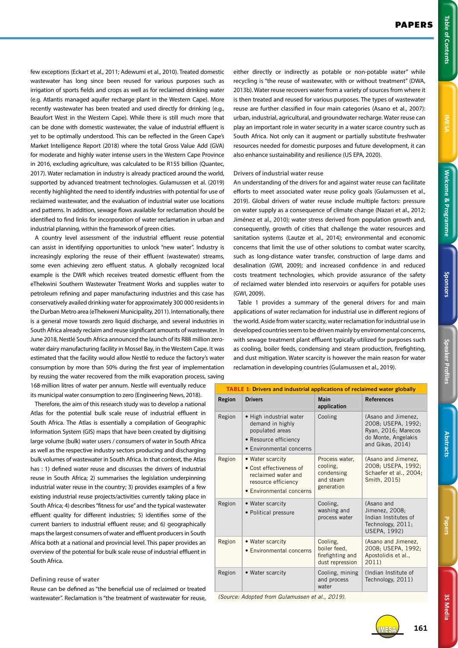**NESA** 

IMESA **161**

few exceptions (Eckart et al., 2011; Adewumi et al., 2010). Treated domestic wastewater has long since been reused for various purposes such as irrigation of sports fields and crops as well as for reclaimed drinking water (e.g. Atlantis managed aquifer recharge plant in the Western Cape). More recently wastewater has been treated and used directly for drinking (e.g., Beaufort West in the Western Cape). While there is still much more that can be done with domestic wastewater, the value of industrial effluent is yet to be optimally understood. This can be reflected in the Green Cape's Market Intelligence Report (2018) where the total Gross Value Add (GVA) for moderate and highly water intense users in the Western Cape Province in 2016, excluding agriculture, was calculated to be R155 billion (Quantec, 2017). Water reclamation in industry is already practiced around the world, supported by advanced treatment technologies. Gulamussen et al. (2019) recently highlighted the need to identify industries with potential for use of reclaimed wastewater, and the evaluation of industrial water use locations and patterns. In addition, sewage flows available for reclamation should be identified to find links for incorporation of water reclamation in urban and industrial planning, within the framework of green cities.

A country level assessment of the industrial effluent reuse potential can assist in identifying opportunities to unlock "new water". Industry is increasingly exploring the reuse of their effluent (wastewater) streams, some even achieving zero effluent status. A globally recognized local example is the DWR which receives treated domestic effluent from the eThekwini Southern Wastewater Treatment Works and supplies water to petroleum refining and paper manufacturing industries and this case has conservatively availed drinking water for approximately 300 000 residents in the Durban Metro area (eThekweni Municipality, 2011). Internationally, there is a general move towards zero liquid discharge, and several industries in South Africa already reclaim and reuse significant amounts of wastewater. In June 2018, Nestlé South Africa announced the launch of its R88 million zerowater dairy manufacturing facility in Mossel Bay, in the Western Cape. It was estimated that the facility would allow Nestlé to reduce the factory's water consumption by more than 50% during the first year of implementation by reusing the water recovered from the milk evaporation process, saving 168-million litres of water per annum. Nestle will eventually reduce

its municipal water consumption to zero (Engineering News, 2018).

Therefore, the aim of this research study was to develop a national Atlas for the potential bulk scale reuse of industrial effluent in South Africa. The Atlas is essentially a compilation of Geographic Information System (GIS) maps that have been created by digitising large volume (bulk) water users / consumers of water in South Africa as well as the respective industry sectors producing and discharging bulk volumes of wastewater in South Africa. In that context, the Atlas has : 1) defined water reuse and discusses the drivers of industrial reuse in South Africa; 2) summarises the legislation underpinning industrial water reuse in the country; 3) provides examples of a few existing industrial reuse projects/activities currently taking place in South Africa; 4) describes "fitness for use" and the typical wastewater effluent quality for different industries; 5) identifies some of the current barriers to industrial effluent reuse; and 6) geographically maps the largest consumers of water and effluent producers in South Africa both at a national and provincial level. This paper provides an overview of the potential for bulk scale reuse of industrial effluent in South Africa.

# **Defining reuse of water**

Reuse can be defined as "the beneficial use of reclaimed or treated wastewater". Reclamation is "the treatment of wastewater for reuse,

either directly or indirectly as potable or non-potable water" while recycling is "the reuse of wastewater, with or without treatment" (DWA, 2013b). Water reuse recovers water from a variety of sources from where it is then treated and reused for various purposes. The types of wastewater reuse are further classified in four main categories (Asano et al., 2007): urban, industrial, agricultural, and groundwater recharge. Water reuse can play an important role in water security in a water scarce country such as South Africa. Not only can it augment or partially substitute freshwater resources needed for domestic purposes and future development, it can also enhance sustainability and resilience (US EPA, 2020).

# **Drivers of industrial water reuse**

An understanding of the drivers for and against water reuse can facilitate efforts to meet associated water reuse policy goals (Gulamussen et al., 2019). Global drivers of water reuse include multiple factors: pressure on water supply as a consequence of climate change (Nazari et al., 2012; Jiménez et al., 2010); water stress derived from population growth and, consequently, growth of cities that challenge the water resources and sanitation systems (Lautze et al., 2014); environmental and economic concerns that limit the use of other solutions to combat water scarcity, such as long-distance water transfer, construction of large dams and desalination (GWI, 2009); and increased confidence in and reduced costs treatment technologies, which provide assurance of the safety of reclaimed water blended into reservoirs or aquifers for potable uses (GWI, 2009).

Table 1 provides a summary of the general drivers for and main applications of water reclamation for industrial use in different regions of the world. Aside from water scarcity, water reclamation for industrial use in developed countries seem to be driven mainly by environmental concerns, with sewage treatment plant effluent typically utilized for purposes such as cooling, boiler feeds, condensing and steam production, firefighting, and dust mitigation. Water scarcity is however the main reason for water reclamation in developing countries (Gulamussen et al., 2019).

| <b>TABLE 1: Drivers and industrial applications of reclaimed water globally</b> |                                                                                                                       |                                                                     |                                                                                                             |
|---------------------------------------------------------------------------------|-----------------------------------------------------------------------------------------------------------------------|---------------------------------------------------------------------|-------------------------------------------------------------------------------------------------------------|
| Region                                                                          | <b>Drivers</b>                                                                                                        | <b>Main</b><br>application                                          | <b>References</b>                                                                                           |
| Region                                                                          | • High industrial water<br>demand in highly<br>populated areas<br>• Resource efficiency<br>• Environmental concerns   | Cooling                                                             | (Asano and Jimenez,<br>2008; USEPA, 1992;<br>Ryan, 2016; Marecos<br>do Monte, Angelakis<br>and Gikas, 2014) |
| Region                                                                          | • Water scarcity<br>• Cost effectiveness of<br>reclaimed water and<br>resource efficiency<br>• Environmental concerns | Process water,<br>cooling.<br>condensing<br>and steam<br>generation | (Asano and Jimenez,<br>2008: USEPA, 1992:<br>Schaefer et al., 2004;<br>Smith, 2015)                         |
| Region                                                                          | • Water scarcity<br>• Political pressure                                                                              | Cooling.<br>washing and<br>process water                            | (Asano and<br>Jimenez, 2008;<br>Indian Institutes of<br>Technology, 2011;<br>USEPA. 1992)                   |
| Region                                                                          | • Water scarcity<br>• Environmental concerns                                                                          | Cooling.<br>boiler feed,<br>firefighting and<br>dust repression     | (Asano and Jimenez.<br>2008; USEPA, 1992;<br>Apostolidis et al.,<br>2011)                                   |
| Region                                                                          | • Water scarcity                                                                                                      | Cooling, mining<br>and process<br>water                             | (Indian Institute of<br>Technology, 2011)                                                                   |

*(Source: Adopted from Gulamussen et al., 2019).*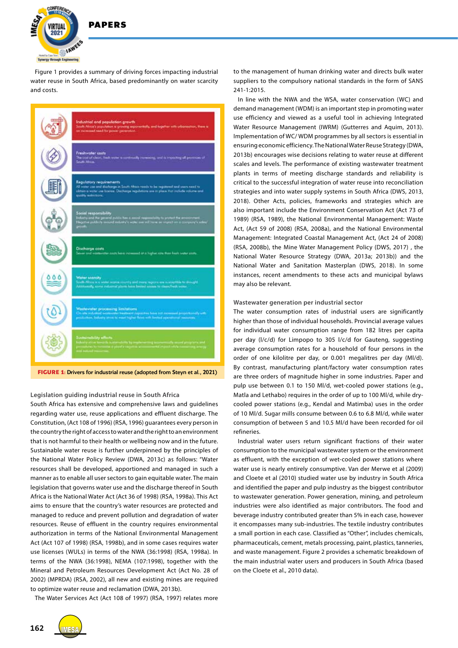

Figure 1 provides a summary of driving forces impacting industrial water reuse in South Africa, based predominantly on water scarcity and costs.

|                                                                                 | Industrial and population growth<br>South Africa's population is growing exportantially, and together with urbanisation, there is<br>contented to the person control based on the                                                            |  |  |
|---------------------------------------------------------------------------------|----------------------------------------------------------------------------------------------------------------------------------------------------------------------------------------------------------------------------------------------|--|--|
|                                                                                 | Freshwater costs<br>The tool of clear, heds water is contrastly increasing, and is tropoching all provinces of<br>South Abrica.                                                                                                              |  |  |
|                                                                                 | Regulatory requirements<br>All water use and discharge in South Africa needs to be registered and users need to<br>obture a water use bosnes. Decharge regulations are in place that include valuese and<br>quality restrictions.            |  |  |
|                                                                                 | Social responsibility<br>behaving and the general public fies a social requirementally in proved the environment.<br>The prime publicity concert reductor's water can still have an impact on a company's solarly<br>m                       |  |  |
|                                                                                 | Discharge costs<br>Sover and vantuoutles could have increased of a higher rate than besit super costs.                                                                                                                                       |  |  |
|                                                                                 | Water scarcity<br>Textb Africa is a world scales country and many regions are susceptible to dissupt.<br>Administrate, some industrial plants here because contact to clean/fresh system.                                                    |  |  |
|                                                                                 | Wastewater processing limitations:<br>On the industrial workwater transferent capacities from not incompany proportionally with<br>production. Enforty stress to must higher fishes with firsted rearrational measures.                      |  |  |
|                                                                                 | Solutions<br>fields a Hardy $\alpha$ and $\alpha$ is a<br>supplied to $\alpha$ in the standard property and interaction<br>$\alpha$ is a measure of points and $\alpha$<br>and $\alpha$ is a measure of the standard property of<br>$\alpha$ |  |  |
| <b>FIGURE 1:</b> Drivers for industrial reuse (adopted from Steyn et al., 2021) |                                                                                                                                                                                                                                              |  |  |

**Legislation guiding industrial reuse in South Africa**

South Africa has extensive and comprehensive laws and guidelines regarding water use, reuse applications and effluent discharge. The Constitution, (Act 108 of 1996) (RSA, 1996) guarantees every person in the country the right of access to water and the right to an environment that is not harmful to their health or wellbeing now and in the future. Sustainable water reuse is further underpinned by the principles of the National Water Policy Review (DWA, 2013c) as follows: "Water resources shall be developed, apportioned and managed in such a manner as to enable all user sectors to gain equitable water. The main legislation that governs water use and the discharge thereof in South Africa is the National Water Act (Act 36 of 1998) (RSA, 1998a). This Act aims to ensure that the country's water resources are protected and managed to reduce and prevent pollution and degradation of water resources. Reuse of effluent in the country requires environmental authorization in terms of the National Environmental Management Act (Act 107 of 1998) (RSA, 1998b), and in some cases requires water use licenses (WULs) in terms of the NWA (36:1998) (RSA, 1998a). In terms of the NWA (36:1998), NEMA (107:1998), together with the Mineral and Petroleum Resources Development Act (Act No. 28 of 2002) (MPRDA) (RSA, 2002), all new and existing mines are required to optimize water reuse and reclamation (DWA, 2013b).

The Water Services Act (Act 108 of 1997) (RSA, 1997) relates more

to the management of human drinking water and directs bulk water suppliers to the compulsory national standards in the form of SANS 241-1:2015.

In line with the NWA and the WSA, water conservation (WC) and demand management (WDM) is an important step in promoting water use efficiency and viewed as a useful tool in achieving Integrated Water Resource Management (IWRM) (Gutterres and Aquim, 2013). Implementation of WC/ WDM programmes by all sectors is essential in ensuring economic efficiency. The National Water Reuse Strategy (DWA, 2013b) encourages wise decisions relating to water reuse at different scales and levels. The performance of existing wastewater treatment plants in terms of meeting discharge standards and reliability is critical to the successful integration of water reuse into reconciliation strategies and into water supply systems in South Africa (DWS, 2013, 2018). Other Acts, policies, frameworks and strategies which are also important include the Environment Conservation Act (Act 73 of 1989) (RSA, 1989), the National Environmental Management: Waste Act, (Act 59 of 2008) (RSA, 2008a), and the National Environmental Management: Integrated Coastal Management Act, (Act 24 of 2008) (RSA, 2008b), the Mine Water Management Policy (DWS, 2017) , the National Water Resource Strategy (DWA, 2013a; 2013b)) and the National Water and Sanitation Masterplan (DWS, 2018). In some instances, recent amendments to these acts and municipal bylaws may also be relevant.

#### **Wastewater generation per industrial sector**

The water consumption rates of industrial users are significantly higher than those of individual households. Provincial average values for individual water consumption range from 182 litres per capita per day (l/c/d) for Limpopo to 305 l/c/d for Gauteng, suggesting average consumption rates for a household of four persons in the order of one kilolitre per day, or 0.001 megalitres per day (Ml/d). By contrast, manufacturing plant/factory water consumption rates are three orders of magnitude higher in some industries. Paper and pulp use between 0.1 to 150 Ml/d, wet-cooled power stations (e.g., Matla and Lethabo) requires in the order of up to 100 Ml/d, while drycooled power stations (e.g., Kendal and Matimba) uses in the order of 10 Ml/d. Sugar mills consume between 0.6 to 6.8 Ml/d, while water consumption of between 5 and 10.5 Ml/d have been recorded for oil refineries.

Industrial water users return significant fractions of their water consumption to the municipal wastewater system or the environment as effluent, with the exception of wet-cooled power stations where water use is nearly entirely consumptive. Van der Merwe et al (2009) and Cloete et al (2010) studied water use by industry in South Africa and identified the paper and pulp industry as the biggest contributor to wastewater generation. Power generation, mining, and petroleum industries were also identified as major contributors. The food and beverage industry contributed greater than 5% in each case, however it encompasses many sub-industries. The textile industry contributes a small portion in each case. Classified as "Other", includes chemicals, pharmaceuticals, cement, metals processing, paint, plastics, tanneries, and waste management. Figure 2 provides a schematic breakdown of the main industrial water users and producers in South Africa (based on the Cloete et al., 2010 data).

**162**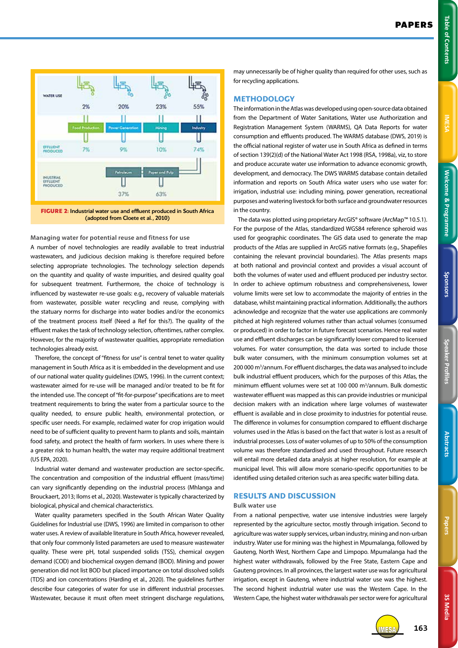

**Managing water for potential reuse and fitness for use** 

A number of novel technologies are readily available to treat industrial wastewaters, and judicious decision making is therefore required before selecting appropriate technologies. The technology selection depends on the quantity and quality of waste impurities, and desired quality goal for subsequent treatment. Furthermore, the choice of technology is influenced by wastewater re-use goals: e.g., recovery of valuable materials from wastewater, possible water recycling and reuse, complying with the statuary norms for discharge into water bodies and/or the economics of the treatment process itself (Need a Ref for this?). The quality of the effluent makes the task of technology selection, oftentimes, rather complex. However, for the majority of wastewater qualities, appropriate remediation technologies already exist.

Therefore, the concept of "fitness for use" is central tenet to water quality management in South Africa as it is embedded in the development and use of our national water quality guidelines (DWS, 1996). In the current context; wastewater aimed for re-use will be managed and/or treated to be fit for the intended use. The concept of "fit-for-purpose" specifications are to meet treatment requirements to bring the water from a particular source to the quality needed, to ensure public health, environmental protection, or specific user needs. For example, reclaimed water for crop irrigation would need to be of sufficient quality to prevent harm to plants and soils, maintain food safety, and protect the health of farm workers. In uses where there is a greater risk to human health, the water may require additional treatment (US EPA, 2020).

Industrial water demand and wastewater production are sector-specific. The concentration and composition of the industrial effluent (mass/time) can vary significantly depending on the industrial process (Mhlanga and Brouckaert, 2013; Iloms et al., 2020). Wastewater is typically characterized by biological, physical and chemical characteristics.

Water quality parameters specified in the South African Water Quality Guidelines for Industrial use (DWS, 1996) are limited in comparison to other water uses. A review of available literature in South Africa, however revealed, that only four commonly listed parameters are used to measure wastewater quality. These were pH, total suspended solids (TSS), chemical oxygen demand (COD) and biochemical oxygen demand (BOD). Mining and power generation did not list BOD but placed importance on total dissolved solids (TDS) and ion concentrations (Harding et al., 2020). The guidelines further describe four categories of water for use in different industrial processes. Wastewater, because it must often meet stringent discharge regulations,

may unnecessarily be of higher quality than required for other uses, such as for recycling applications.

# **METHODOLOGY**

The information in the Atlas was developed using open-source data obtained from the Department of Water Sanitations, Water use Authorization and Registration Management System (WARMS), QA Data Reports for water consumption and effluents produced. The WARMS database (DWS, 2019) is the official national register of water use in South Africa as defined in terms of section 139(2)(d) of the National Water Act 1998 (RSA, 1998a), viz, to store and produce accurate water use information to advance economic growth, development, and democracy. The DWS WARMS database contain detailed information and reports on South Africa water users who use water for: irrigation, industrial use: including mining, power generation, recreational purposes and watering livestock for both surface and groundwater resources in the country.

The data was plotted using proprietary ArcGIS® software (ArcMap™ 10.5.1). For the purpose of the Atlas, standardized WGS84 reference spheroid was used for geographic coordinates. The GIS data used to generate the map products of the Atlas are supplied in ArcGIS native formats (e.g., Shapefiles containing the relevant provincial boundaries). The Atlas presents maps at both national and provincial context and provides a visual account of both the volumes of water used and effluent produced per industry sector. In order to achieve optimum robustness and comprehensiveness, lower volume limits were set low to accommodate the majority of entries in the database, whilst maintaining practical information. Additionally, the authors acknowledge and recognize that the water use applications are commonly pitched at high registered volumes rather than actual volumes (consumed or produced) in order to factor in future forecast scenarios. Hence real water use and effluent discharges can be significantly lower compared to licensed volumes. For water consumption, the data was sorted to include those bulk water consumers, with the minimum consumption volumes set at 200 000 m<sup>3</sup>/annum. For effluent discharges, the data was analysed to include bulk industrial effluent producers, which for the purposes of this Atlas, the minimum effluent volumes were set at 100 000 m<sup>3</sup>/annum. Bulk domestic wastewater effluent was mapped as this can provide industries or municipal decision makers with an indication where large volumes of wastewater effluent is available and in close proximity to industries for potential reuse. The difference in volumes for consumption compared to effluent discharge volumes used in the Atlas is based on the fact that water is lost as a result of industrial processes. Loss of water volumes of up to 50% of the consumption volume was therefore standardised and used throughout. Future research will entail more detailed data analysis at higher resolution, for example at municipal level. This will allow more scenario-specific opportunities to be identified using detailed criterion such as area specific water billing data.

# **RESULTS AND DISCUSSION**

#### **Bulk water use**

From a national perspective, water use intensive industries were largely represented by the agriculture sector, mostly through irrigation. Second to agriculture was water supply services, urban industry, mining and non-urban industry. Water use for mining was the highest in Mpumalanga, followed by Gauteng, North West, Northern Cape and Limpopo. Mpumalanga had the highest water withdrawals, followed by the Free State, Eastern Cape and Gauteng provinces. In all provinces, the largest water use was for agricultural irrigation, except in Gauteng, where industrial water use was the highest. The second highest industrial water use was the Western Cape. In the Western Cape, the highest water withdrawals per sector were for agricultural



**3S Media**

3S Media

IMESA **163**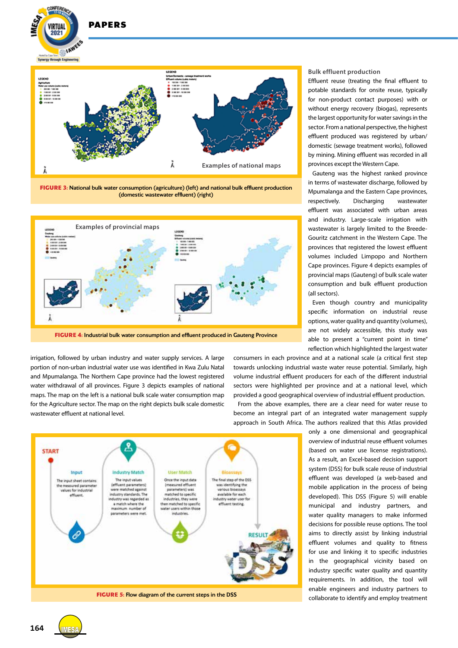

**DADEDS** 

VIRTUAL  $2021$ 

**FIGURE 3:** National bulk water consumption (agriculture) (left) and national bulk effluent production (domestic wastewater effluent) (right)



**FIGURE 4:** Industrial bulk water consumption and effluent produced in Gauteng Province

irrigation, followed by urban industry and water supply services. A large portion of non-urban industrial water use was identified in Kwa Zulu Natal and Mpumalanga. The Northern Cape province had the lowest registered water withdrawal of all provinces. Figure 3 depicts examples of national maps. The map on the left is a national bulk scale water consumption map for the Agriculture sector. The map on the right depicts bulk scale domestic wastewater effluent at national level.

**Bulk effluent production**

Effluent reuse (treating the final effluent to potable standards for onsite reuse, typically for non-product contact purposes) with or without energy recovery (biogas), represents the largest opportunity for water savings in the sector. From a national perspective, the highest effluent produced was registered by urban/ domestic (sewage treatment works), followed by mining. Mining effluent was recorded in all provinces except the Western Cape.

Gauteng was the highest ranked province in terms of wastewater discharge, followed by Mpumalanga and the Eastern Cape provinces, respectively. Discharging wastewater effluent was associated with urban areas and industry. Large-scale irrigation with wastewater is largely limited to the Breede-Gouritz catchment in the Western Cape. The provinces that registered the lowest effluent volumes included Limpopo and Northern Cape provinces. Figure 4 depicts examples of provincial maps (Gauteng) of bulk scale water consumption and bulk effluent production (all sectors).

Even though country and municipality specific information on industrial reuse options, water quality and quantity (volumes), are not widely accessible, this study was able to present a "current point in time" reflection which highlighted the largest water

consumers in each province and at a national scale (a critical first step towards unlocking industrial waste water reuse potential. Similarly, high volume industrial effluent producers for each of the different industrial sectors were highlighted per province and at a national level, which provided a good geographical overview of industrial effluent production.

From the above examples, there are a clear need for water reuse to become an integral part of an integrated water management supply approach in South Africa. The authors realized that this Atlas provided

> only a one dimensional and geographical overview of industrial reuse effluent volumes (based on water use license registrations). As a result, an Excel-based decision support system (DSS) for bulk scale reuse of industrial effluent was developed (a web-based and mobile application in the process of being developed). This DSS (Figure 5) will enable municipal and industry partners, and water quality managers to make informed decisions for possible reuse options. The tool aims to directly assist by linking industrial effluent volumes and quality to fitness for use and linking it to specific industries in the geographical vicinity based on industry specific water quality and quantity requirements. In addition, the tool will enable engineers and industry partners to collaborate to identify and employ treatment





**164**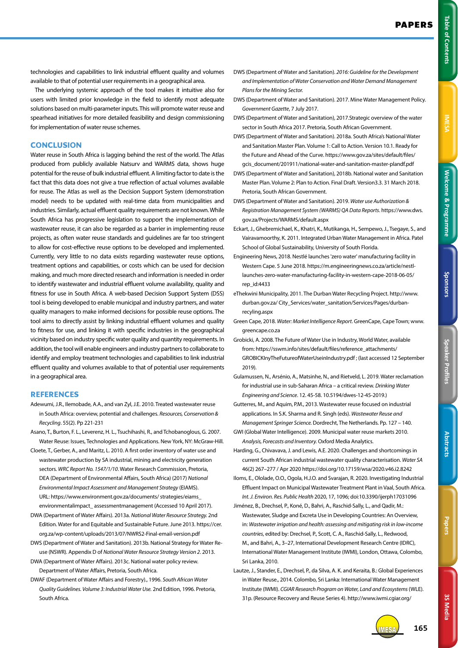technologies and capabilities to link industrial effluent quality and volumes available to that of potential user requirements in a geographical area.

The underlying systemic approach of the tool makes it intuitive also for users with limited prior knowledge in the field to identify most adequate solutions based on multi-parameter inputs. This will promote water reuse and spearhead initiatives for more detailed feasibility and design commissioning for implementation of water reuse schemes.

# **CONCLUSION**

Water reuse in South Africa is lagging behind the rest of the world. The Atlas produced from publicly available Natsurv and WARMS data, shows huge potential for the reuse of bulk industrial effluent. A limiting factor to date is the fact that this data does not give a true reflection of actual volumes available for reuse. The Atlas as well as the Decision Support System (demonstration model) needs to be updated with real-time data from municipalities and industries. Similarly, actual effluent quality requirements are not known. While South Africa has progressive legislation to support the implementation of wastewater reuse, it can also be regarded as a barrier in implementing reuse projects, as often water reuse standards and guidelines are far too stringent to allow for cost-effective reuse options to be developed and implemented. Currently, very little to no data exists regarding wastewater reuse options, treatment options and capabilities, or costs which can be used for decision making, and much more directed research and information is needed in order to identify wastewater and industrial effluent volume availability, quality and fitness for use in South Africa. A web-based Decision Support System (DSS) tool is being developed to enable municipal and industry partners, and water quality managers to make informed decisions for possible reuse options. The tool aims to directly assist by linking industrial effluent volumes and quality to fitness for use, and linking it with specific industries in the geographical vicinity based on industry specific water quality and quantity requirements. In addition, the tool will enable engineers and industry partners to collaborate to identify and employ treatment technologies and capabilities to link industrial effluent quality and volumes available to that of potential user requirements in a geographical area.

# **REFERENCES**

- Adewumi, J.R., Ilemobade, A.A., and van Zyl, J.E. 2010. Treated wastewater reuse in South Africa: overview, potential and challenges. *Resources, Conservation & Recycling*. 55(2). Pp 221-231
- Asano, T., Burton, F. L., Leverenz, H. L., Tsuchihashi, R., and Tchobanoglous, G. 2007. Water Reuse: Issues, Technologies and Applications. New York, NY: McGraw-Hill.
- Cloete, T., Gerber, A., and Maritz, L. 2010. A first order inventory of water use and wastewater production by SA industrial, mining and electricity generation sectors. *WRC Report No. 1547/1/10*. Water Research Commission, Pretoria, DEA (Department of Environmental Affairs, South Africa) (2017) *National Environmental Impact Assessment and Management Strategy* (EIAMS). URL: https://www.environment.gov.za/documents/ strategies/eiams\_ environmentalimpact\_ assessmentmanagement (Accessed 10 April 2017).
- DWA (Department of Water Affairs). 2013a. *National Water Resource Strategy.* 2nd Edition. Water for and Equitable and Sustainable Future. June 2013. https://cer. org.za/wp-content/uploads/2013/07/NWRS2-Final-email-version.pdf
- DWS (Department of Water and Sanitation). 2013b. National Strategy for Water Reuse (NSWR). Appendix D of *National Water Resource Strategy Version 2*. 2013.
- DWA (Department of Water Affairs). 2013c. National water policy review. Department of Water Affairs, Pretoria, South Africa.
- DWAF (Department of Water Affairs and Forestry)., 1996. *South African Water Quality Guidelines. Volume 3: Industrial Water Use.* 2nd Edition, 1996. Pretoria, South Africa.
- DWS (Department of Water and Sanitation). *2016: Guideline for the Development and Implementation of Water Conservation and Water Demand Management Plans for the Mining Sector.*
- DWS (Department of Water and Sanitation). 2017. Mine Water Management Policy. *Government Gazette*, 7 July 2017.
- DWS (Department of Water and Sanitation), 2017.Strategic overview of the water sector in South Africa 2017. Pretoria, South African Government.
- DWS (Department of Water and Sanitation). 2018a. South Africa's National Water and Sanitation Master Plan. Volume 1: Call to Action. Version 10.1. Ready for the Future and Ahead of the Curve. https://www.gov.za/sites/default/files/ gcis\_document/201911/national-water-and-sanitation-master-plandf.pdf
- DWS (Department of Water and Sanitation), 2018b. National water and Sanitation Master Plan. Volume 2: Plan to Action. Final Draft. Version3.3. 31 March 2018. Pretoria, South African Government.
- DWS (Department of Water and Sanitation). 2019. *Water use Authorization & Registration Management System (WARMS) QA Data Reports*. https://www.dws. gov.za/Projects/WARMS/default.aspx
- Eckart, J., Ghebremichael, K., Khatri, K., Mutikanga, H., Sempewo, J., Tsegaye, S., and Vairavamoorthy, K. 2011. Integrated Urban Water Management in Africa. Patel School of Global Sustainability, University of South Florida.
- Engineering News, 2018. Nestlé launches 'zero water' manufacturing facility in Western Cape. 5 June 2018. https://m.engineeringnews.co.za/article/nestllaunches-zero-water-manufacturing-facility-in-western-cape-2018-06-05/ rep\_id:4433
- eThekwini Municipality, 2011. The Durban Water Recycling Project. http://www. durban.gov.za/ City\_Services/water\_sanitation/Services/Pages/durbanrecyling.aspx
- Green Cape, 2018. *Water: Market Intelligence Report*. GreenCape, Cape Town; www. greencape.co.za
- Grobicki, A. 2008. The Future of Water Use in Industry, World Water, available from: https://sswm.info/sites/default/files/reference\_attachments/ GROBICKInyTheFutureofWaterUseinIndustry.pdf ; (last accessed 12 September 2019).
- Gulamussen, N., Arsénio, A., Matsinhe, N., and Rietveld, L. 2019. Water reclamation for industrial use in sub-Saharan Africa – a critical review. *Drinking Water Engineering and Science*. 12. 45-58. 10.5194/dwes-12-45-2019.)

Gutterres, M., and Aquim, P.M., 2013. Wastewater reuse focused on industrial applications. In S.K. Sharma and R. Singh (eds). *Wastewater Reuse and Management Springer Science.* Dordrecht, The Netherlands. Pp. 127 – 140.

- GWI (Global Water Intelligence). 2009. Municipal water reuse markets 2010. *Analysis, Forecasts and Inventory.* Oxford Media Analytics.
- Harding, G., Chivavava, J. and Lewis, A.E. 2020. Challenges and shortcomings in current South African industrial wastewater quality characterisation. *Water SA*  46(2) 267–277 / Apr 2020 https://doi.org/10.17159/wsa/2020.v46.i2.8242
- Iloms, E., Ololade, O.O., Ogola, H.J.O. and Svarajan, R. 2020. Investigating Industrial Effluent Impact on Municipal Wastewater Treatment Plant in Vaal, South Africa. *Int. J. Environ. Res. Public Health* 2020, 17, 1096; doi:10.3390/ijerph17031096
- Jiménez, B., Drechsel, P., Koné, D., Bahri, A., Raschid-Sally, L., and Qadir, M.: Wastewater, Sludge and Excreta Use in Developing Countries: An Overview, in: *Wastewater irrigation and health: assessing and mitigating risk in low-income countries*, edited by: Drechsel, P., Scott, C. A., Raschid-Sally, L., Redwood, M., and Bahri, A., 3–27, International Development Research Centre (IDRC), International Water Management Institute (IWMI), London, Ottawa, Colombo, Sri Lanka, 2010.
- Lautze, J., Stander, E., Drechsel, P., da Silva, A. K. and Keraita, B.: Global Experiences in Water Reuse., 2014. Colombo, Sri Lanka: International Water Management Institute (IWMI). *CGIAR Research Program on Water, Land and Ecosystems* (WLE). 31p. (Resource Recovery and Reuse Series 4). http://www.iwmi.cgiar.org/



**3S Media**

**3S Media** 

IMESA **165**